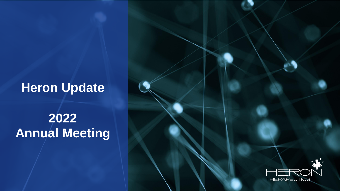## **Heron Update**

# **2022 Annual Meeting**

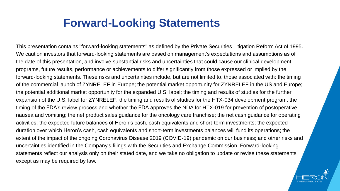### **Forward-Looking Statements**

This presentation contains "forward-looking statements" as defined by the Private Securities Litigation Reform Act of 1995. We caution investors that forward-looking statements are based on management's expectations and assumptions as of the date of this presentation, and involve substantial risks and uncertainties that could cause our clinical development programs, future results, performance or achievements to differ significantly from those expressed or implied by the forward-looking statements. These risks and uncertainties include, but are not limited to, those associated with: the timing of the commercial launch of ZYNRELEF in Europe; the potential market opportunity for ZYNRELEF in the US and Europe; the potential additional market opportunity for the expanded U.S. label; the timing and results of studies for the further expansion of the U.S. label for ZYNRELEF; the timing and results of studies for the HTX-034 development program; the timing of the FDA's review process and whether the FDA approves the NDA for HTX-019 for prevention of postoperative nausea and vomiting; the net product sales guidance for the oncology care franchise; the net cash guidance for operating activities; the expected future balances of Heron's cash, cash equivalents and short-term investments; the expected duration over which Heron's cash, cash equivalents and short-term investments balances will fund its operations; the extent of the impact of the ongoing Coronavirus Disease 2019 (COVID-19) pandemic on our business; and other risks and uncertainties identified in the Company's filings with the Securities and Exchange Commission. Forward-looking statements reflect our analysis only on their stated date, and we take no obligation to update or revise these statements except as may be required by law.

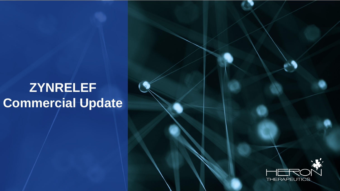# **ZYNRELEF Commercial Update**

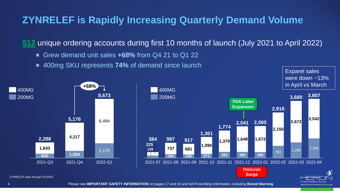#### **ZYNRELEF is Rapidly Increasing Quarterly Demand Volume**

**512** unique ordering accounts during first 10 months of launch (July 2021 to April 2022)

- Grew demand unit sales **+68%** from Q4 21 to Q1 22  $\bullet$
- 400mg SKU represents **74%** of demand since launch  $\bullet$

Exparel sales were down  $~13\%$ 





**Surge**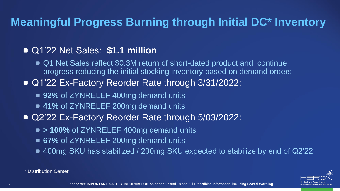### **Meaningful Progress Burning through Initial DC\* Inventory**

#### Q1'22 Net Sales: **\$1.1 million**

- Q1 Net Sales reflect \$0.3M return of short-dated product and continue progress reducing the initial stocking inventory based on demand orders
- Q1'22 Ex-Factory Reorder Rate through 3/31/2022:
	- **92%** of ZYNRELEF 400mg demand units
	- **41%** of ZYNRELEF 200mg demand units
- Q2'22 Ex-Factory Reorder Rate through 5/03/2022:
	- $\bullet$  **> 100%** of ZYNRELEF 400mg demand units
	- **67%** of ZYNRELEF 200mg demand units
	- 400mg SKU has stabilized / 200mg SKU expected to stabilize by end of Q2'22



\* Distribution Center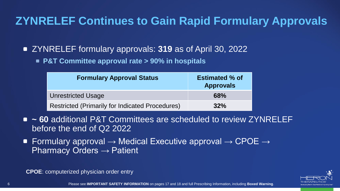### **ZYNRELEF Continues to Gain Rapid Formulary Approvals**

ZYNRELEF formulary approvals: **319** as of April 30, 2022

**P&T Committee approval rate > 90% in hospitals**

| <b>Formulary Approval Status</b>                       | <b>Estimated % of</b><br><b>Approvals</b> |
|--------------------------------------------------------|-------------------------------------------|
| <b>Unrestricted Usage</b>                              | <b>68%</b>                                |
| <b>Restricted (Primarily for Indicated Procedures)</b> | 32%                                       |

- **~ 60** additional P&T Committees are scheduled to review ZYNRELEF before the end of Q2 2022
- Formulary approval  $\rightarrow$  Medical Executive approval  $\rightarrow$  CPOE  $\rightarrow$ Pharmacy Orders  $\rightarrow$  Patient

**CPOE**: computerized physician order entry

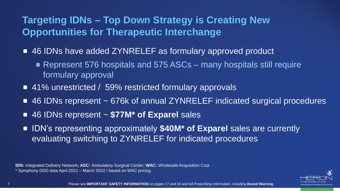### **Targeting IDNs – Top Down Strategy is Creating New Opportunities for Therapeutic Interchange**

- 46 IDNs have added ZYNRELEF as formulary approved product
	- Represent 576 hospitals and 575 ASCs many hospitals still require formulary approval
- 41% unrestricted / 59% restricted formulary approvals
- 46 IDNs represent ~ 676k of annual ZYNRELEF indicated surgical procedures
- 46 IDNs represent ~ **\$77M\* of Exparel** sales
- IDN's representing approximately **\$40M<sup>\*</sup> of Exparel** sales are currently evaluating switching to ZYNRELEF for indicated procedures

**IDN:** Integrated Delivery Network**; ASC:** Ambulatory Surgical Center; **WAC:** Wholesale Acquisition Cost \* Symphony DDD data April 2021 – March 2022 / based on WAC pricing

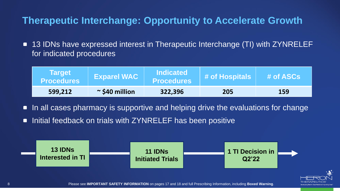#### **Therapeutic Interchange: Opportunity to Accelerate Growth**

13 IDNs have expressed interest in Therapeutic Interchange (TI) with ZYNRELEF  $\blacksquare$ for indicated procedures

| <b>Target</b><br><b>Procedures</b> | <b>Exparel WAC</b>     | <b>Indicated</b><br><b>Procedures</b> | # of Hospitals | # of ASCs |
|------------------------------------|------------------------|---------------------------------------|----------------|-----------|
| 599,212                            | $\approx$ \$40 million | 322,396                               | 205            | 159       |

- In all cases pharmacy is supportive and helping drive the evaluations for change  $\blacksquare$
- Initial feedback on trials with ZYNRELEF has been positive  $\blacksquare$



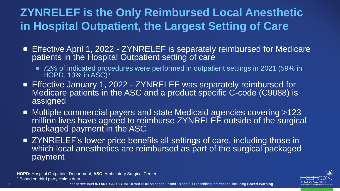### **ZYNRELEF is the Only Reimbursed Local Anesthetic in Hospital Outpatient, the Largest Setting of Care**

- Effective April 1, 2022 ZYNRELEF is separately reimbursed for Medicare patients in the Hospital Outpatient setting of care
	- 72% of indicated procedures were performed in outpatient settings in 2021 (59% in HOPD, 13% in  $ASC$ <sup>a</sup>
- Effective January 1, 2022 ZYNRELEF was separately reimbursed for Medicare patients in the ASC and a product specific C-code (C9088) is assigned
- Multiple commercial payers and state Medicaid agencies covering >123 million lives have agreed to reimburse ZYNRELEF outside of the surgical packaged payment in the ASC
- ZYNRELEF's lower price benefits all settings of care, including those in which local anesthetics are reimbursed as part of the surgical packaged payment

**HOPD:** Hospital Outpatient Department; **ASC**: Ambulatory Surgical Center a Based on third party claims data

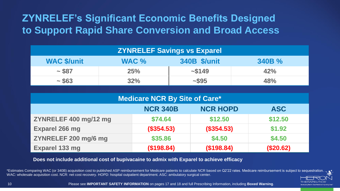### **ZYNRELEF's Significant Economic Benefits Designed to Support Rapid Share Conversion and Broad Access**

| <b>ZYNRELEF Savings vs Exparel</b> |       |                     |       |
|------------------------------------|-------|---------------------|-------|
| <b>WAC \$/unit</b>                 | WAC % | <b>340B \$/unit</b> | 340B% |
| ~1.587                             | 25%   | ~1.5149             | 42%   |
| ~1.563                             | 32%   | $-$ \$95            | 48%   |

| <b>Medicare NCR By Site of Care*</b> |                 |                 |            |
|--------------------------------------|-----------------|-----------------|------------|
|                                      | <b>NCR 340B</b> | <b>NCR HOPD</b> | <b>ASC</b> |
| ZYNRELEF 400 mg/12 mg                | \$74.64         | \$12.50         | \$12.50    |
| <b>Exparel 266 mg</b>                | (\$354.53)      | (\$354.53)      | \$1.92     |
| ZYNRELEF 200 mg/6 mg                 | \$35.86         | \$4.50          | \$4.50     |
| Exparel 133 mg                       | (\$198.84)      | (\$198.84)      | (\$20.62)  |

**Does not include additional cost of bupivacaine to admix with Exparel to achieve efficacy**

\*Estimates Comparing WAC (or 340B) acquisition cost to published ASP reimbursement for Medicare patients to calculate NCR based on Q2'22 rates. Medicare reimbursement is subject to sequestration. WAC: wholesale acquisition cost. NCR: net cost recovery. HOPD: hospital outpatient department. ASC: ambulatory surgical center.



10 Please see **IMPORTANT SAFETY INFORMATION** on pages 17 and 18 and full Prescribing Information, including **Boxed Warning**.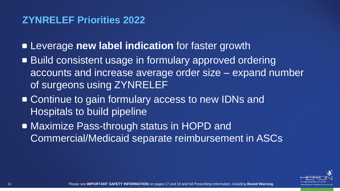#### **ZYNRELEF Priorities 2022**

Leverage **new label indication** for faster growth

- **Build consistent usage in formulary approved ordering** accounts and increase average order size – expand number of surgeons using ZYNRELEF
- **Continue to gain formulary access to new IDNs and** Hospitals to build pipeline
- Maximize Pass-through status in HOPD and Commercial/Medicaid separate reimbursement in ASCs

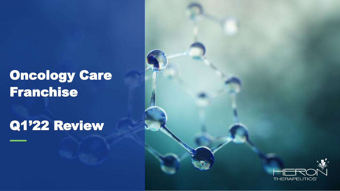# Oncology Care Franchise

## Q1'22 Review

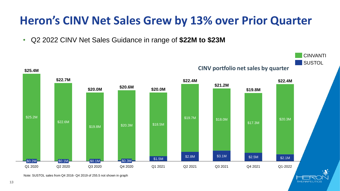## **Heron's CINV Net Sales Grew by 13% over Prior Quarter**

• Q2 2022 CINV Net Sales Guidance in range of **\$22M to \$23M**



**THERAPEUTIC** 

Note: SUSTOL sales from Q4 2016- Q4 2019 of 255.5 not shown in graph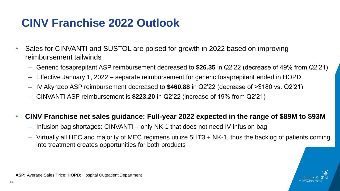### **CINV Franchise 2022 Outlook**

- Sales for CINVANTI and SUSTOL are poised for growth in 2022 based on improving reimbursement tailwinds
	- Generic fosaprepitant ASP reimbursement decreased to **\$26.35** in Q2'22 (decrease of 49% from Q2'21)
	- Effective January 1, 2022 separate reimbursement for generic fosaprepitant ended in HOPD
	- IV Akynzeo ASP reimbursement decreased to **\$460.88** in Q2'22 (decrease of >\$180 vs. Q2'21)
	- CINVANTI ASP reimbursement is **\$223.20** in Q2'22 (increase of 19% from Q2'21)

#### • **CINV Franchise net sales guidance: Full-year 2022 expected in the range of \$89M to \$93M**

- Infusion bag shortages: CINVANTI only NK-1 that does not need IV infusion bag
- Virtually all HEC and majority of MEC regimens utilize 5HT3 + NK-1, thus the backlog of patients coming into treatment creates opportunities for both products



**ASP:** Average Sales Price; **HOPD:** Hospital Outpatient Department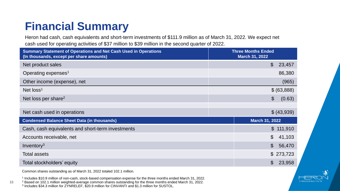## **Financial Summary**

Heron had cash, cash equivalents and short-term investments of \$111.9 million as of March 31, 2022. We expect net cash used for operating activities of \$37 million to \$39 million in the second quarter of 2022.

| <b>Summary Statement of Operations and Net Cash Used in Operations</b><br>(In thousands, except per share amounts) | <b>Three Months Ended</b><br><b>March 31, 2022</b> |
|--------------------------------------------------------------------------------------------------------------------|----------------------------------------------------|
| Net product sales                                                                                                  | $\boldsymbol{\mathsf{S}}$<br>23,457                |
| Operating expenses <sup>1</sup>                                                                                    | 86,380                                             |
| Other income (expense), net                                                                                        | (965)                                              |
| Net $loss1$                                                                                                        | \$ (63,888)                                        |
| Net loss per share <sup>2</sup>                                                                                    | \$<br>(0.63)                                       |
|                                                                                                                    |                                                    |
| Net cash used in operations                                                                                        | \$ (43,939)                                        |
| <b>Condensed Balance Sheet Data (in thousands)</b>                                                                 | <b>March 31, 2022</b>                              |
| Cash, cash equivalents and short-term investments                                                                  | \$111,910                                          |
| Accounts receivable, net                                                                                           | \$<br>41,103                                       |
| Inventory <sup>3</sup>                                                                                             | \$<br>56,470                                       |
| Total assets                                                                                                       | \$273,723                                          |
| Total stockholders' equity                                                                                         | \$<br>23,958                                       |

Common shares outstanding as of March 31, 2022 totaled 102.1 million.

**15**

1 Includes \$10.9 million of non-cash, stock-based compensation expense for the three months ended March 31, 2022.

<sup>2</sup> Based on 102.1 million weighted-average common shares outstanding for the three months ended March 31, 2022.

3 Includes \$34.3 million for ZYNRELEF, \$20.9 million for CINVANTI and \$1.3 million for SUSTOL.

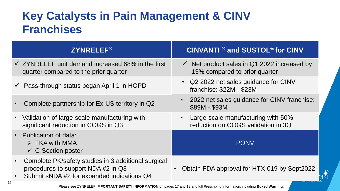### **Key Catalysts in Pain Management & CINV Franchises**

| <b>ZYNRELEF®</b>                                                                                                                        | <b>CINVANTI ® and SUSTOL® for CINV</b>                                                  |
|-----------------------------------------------------------------------------------------------------------------------------------------|-----------------------------------------------------------------------------------------|
| $\checkmark$ ZYNRELEF unit demand increased 68% in the first<br>quarter compared to the prior quarter                                   | $\checkmark$ Net product sales in Q1 2022 increased by<br>13% compared to prior quarter |
| $\checkmark$ Pass-through status began April 1 in HOPD                                                                                  | • Q2 2022 net sales guidance for CINV<br>franchise: \$22M - \$23M                       |
| Complete partnership for Ex-US territory in Q2                                                                                          | 2022 net sales guidance for CINV franchise:<br>\$89M - \$93M                            |
| Validation of large-scale manufacturing with<br>significant reduction in COGS in Q3                                                     | Large-scale manufacturing with 50%<br>reduction on COGS validation in 3Q                |
| • Publication of data:<br>$\triangleright$ TKA with MMA<br>$\checkmark$ C-Section poster                                                | <b>PONV</b>                                                                             |
| Complete PK/safety studies in 3 additional surgical<br>procedures to support NDA #2 in Q3<br>Submit sNDA #2 for expanded indications Q4 | Obtain FDA approval for HTX-019 by Sept2022<br>$\bullet$                                |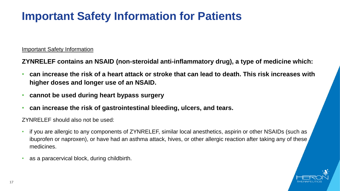### **Important Safety Information for Patients**

#### Important Safety Information

**ZYNRELEF contains an NSAID (non-steroidal anti-inflammatory drug), a type of medicine which:** 

- **can increase the risk of a heart attack or stroke that can lead to death. This risk increases with higher doses and longer use of an NSAID.**
- **cannot be used during heart bypass surgery**
- **can increase the risk of gastrointestinal bleeding, ulcers, and tears.**

ZYNRELEF should also not be used:

- if you are allergic to any components of ZYNRELEF, similar local anesthetics, aspirin or other NSAIDs (such as ibuprofen or naproxen), or have had an asthma attack, hives, or other allergic reaction after taking any of these medicines.
- as a paracervical block, during childbirth.